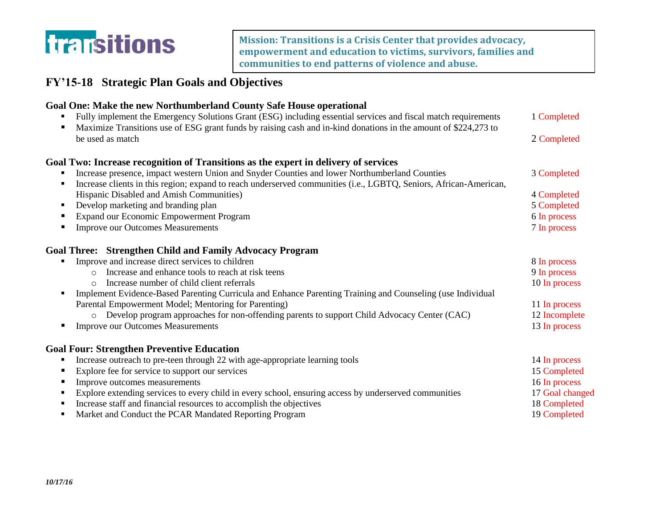

**Mission: Transitions is a Crisis Center that provides advocacy, empowerment and education to victims, survivors, families and communities to end patterns of violence and abuse.**

## **FY'15-18 Strategic Plan Goals and Objectives**

| Goal One: Make the new Northumberland County Safe House operational<br>Fully implement the Emergency Solutions Grant (ESG) including essential services and fiscal match requirements | 1 Completed     |
|---------------------------------------------------------------------------------------------------------------------------------------------------------------------------------------|-----------------|
| Maximize Transitions use of ESG grant funds by raising cash and in-kind donations in the amount of \$224,273 to<br>٠                                                                  |                 |
| be used as match                                                                                                                                                                      | 2 Completed     |
| Goal Two: Increase recognition of Transitions as the expert in delivery of services                                                                                                   |                 |
| Increase presence, impact western Union and Snyder Counties and lower Northumberland Counties                                                                                         | 3 Completed     |
| Increase clients in this region; expand to reach underserved communities (i.e., LGBTQ, Seniors, African-American,<br>٠                                                                |                 |
| Hispanic Disabled and Amish Communities)                                                                                                                                              | 4 Completed     |
| Develop marketing and branding plan<br>٠                                                                                                                                              | 5 Completed     |
| Expand our Economic Empowerment Program                                                                                                                                               | 6 In process    |
| <b>Improve our Outcomes Measurements</b><br>п                                                                                                                                         | 7 In process    |
| <b>Goal Three: Strengthen Child and Family Advocacy Program</b>                                                                                                                       |                 |
| Improve and increase direct services to children<br>٠                                                                                                                                 | 8 In process    |
| Increase and enhance tools to reach at risk teens<br>$\Omega$                                                                                                                         | 9 In process    |
| Increase number of child client referrals                                                                                                                                             | 10 In process   |
| Implement Evidence-Based Parenting Curricula and Enhance Parenting Training and Counseling (use Individual<br>٠                                                                       |                 |
| Parental Empowerment Model; Mentoring for Parenting)                                                                                                                                  | 11 In process   |
| Develop program approaches for non-offending parents to support Child Advocacy Center (CAC)<br>$\circ$                                                                                | 12 Incomplete   |
| <b>Improve our Outcomes Measurements</b><br>п                                                                                                                                         | 13 In process   |
| <b>Goal Four: Strengthen Preventive Education</b>                                                                                                                                     |                 |
| Increase outreach to pre-teen through 22 with age-appropriate learning tools<br>٠                                                                                                     | 14 In process   |
| Explore fee for service to support our services<br>п                                                                                                                                  | 15 Completed    |
| Improve outcomes measurements<br>п                                                                                                                                                    | 16 In process   |
| Explore extending services to every child in every school, ensuring access by underserved communities<br>٠                                                                            | 17 Goal changed |
| Increase staff and financial resources to accomplish the objectives                                                                                                                   | 18 Completed    |
| Market and Conduct the PCAR Mandated Reporting Program<br>٠                                                                                                                           | 19 Completed    |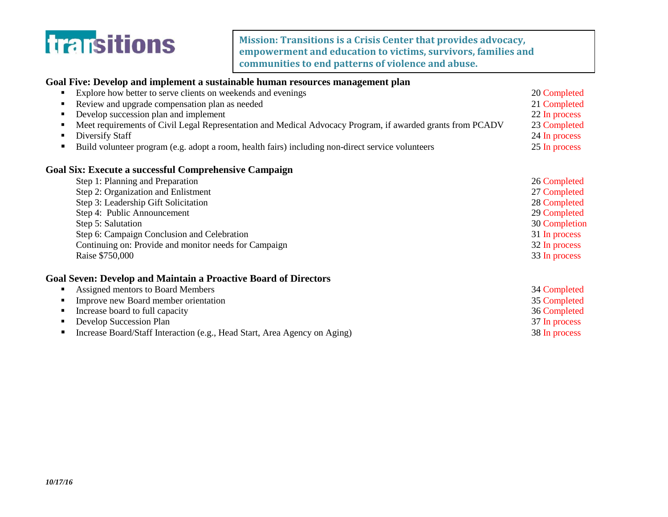

**Mission: Transitions is a Crisis Center that provides advocacy, empowerment and education to victims, survivors, families and communities to end patterns of violence and abuse.**

| Goal Five: Develop and implement a sustainable human resources management plan                                                                                                                                                                                                                     |               |                                                                                                        |                                |
|----------------------------------------------------------------------------------------------------------------------------------------------------------------------------------------------------------------------------------------------------------------------------------------------------|---------------|--------------------------------------------------------------------------------------------------------|--------------------------------|
| Explore how better to serve clients on weekends and evenings<br>Review and upgrade compensation plan as needed<br>Develop succession plan and implement<br>٠<br>Meet requirements of Civil Legal Representation and Medical Advocacy Program, if awarded grants from PCADV<br>Diversify Staff<br>٠ |               |                                                                                                        |                                |
|                                                                                                                                                                                                                                                                                                    |               | Build volunteer program (e.g. adopt a room, health fairs) including non-direct service volunteers<br>٠ | 24 In process<br>25 In process |
|                                                                                                                                                                                                                                                                                                    |               | <b>Goal Six: Execute a successful Comprehensive Campaign</b>                                           |                                |
|                                                                                                                                                                                                                                                                                                    |               | Step 1: Planning and Preparation                                                                       | 26 Completed                   |
|                                                                                                                                                                                                                                                                                                    |               | Step 2: Organization and Enlistment<br>Step 3: Leadership Gift Solicitation                            |                                |
| Step 4: Public Announcement                                                                                                                                                                                                                                                                        | 29 Completed  |                                                                                                        |                                |
| Step 5: Salutation                                                                                                                                                                                                                                                                                 | 30 Completion |                                                                                                        |                                |
| Step 6: Campaign Conclusion and Celebration                                                                                                                                                                                                                                                        | 31 In process |                                                                                                        |                                |
| Continuing on: Provide and monitor needs for Campaign                                                                                                                                                                                                                                              | 32 In process |                                                                                                        |                                |
| Raise \$750,000                                                                                                                                                                                                                                                                                    | 33 In process |                                                                                                        |                                |
| <b>Goal Seven: Develop and Maintain a Proactive Board of Directors</b>                                                                                                                                                                                                                             |               |                                                                                                        |                                |
| Assigned mentors to Board Members                                                                                                                                                                                                                                                                  | 34 Completed  |                                                                                                        |                                |
| Improve new Board member orientation                                                                                                                                                                                                                                                               | 35 Completed  |                                                                                                        |                                |
| Increase board to full capacity                                                                                                                                                                                                                                                                    | 36 Completed  |                                                                                                        |                                |
| Develop Succession Plan                                                                                                                                                                                                                                                                            | 37 In process |                                                                                                        |                                |
| Increase Board/Staff Interaction (e.g., Head Start, Area Agency on Aging)<br>٠                                                                                                                                                                                                                     | 38 In process |                                                                                                        |                                |